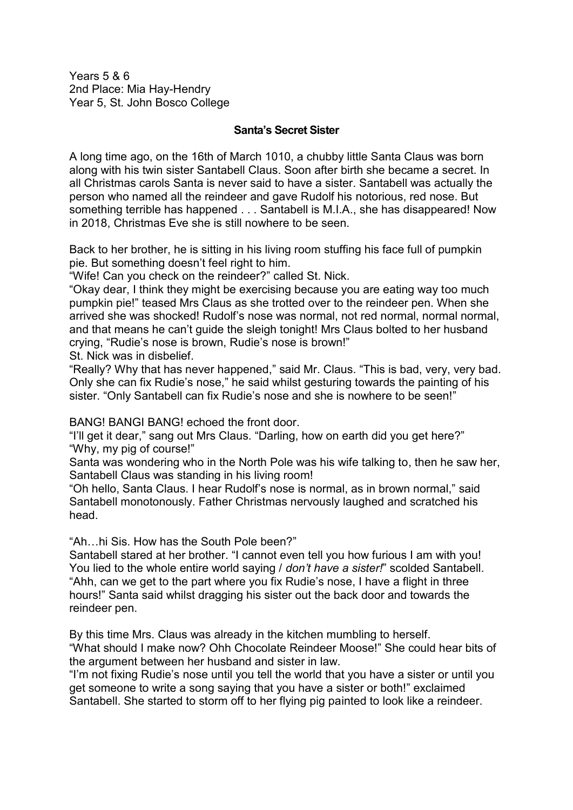Years 5 & 6 2nd Place: Mia Hay-Hendry Year 5, St. John Bosco College

## **Santa's Secret Sister**

A long time ago, on the 16th of March 1010, a chubby little Santa Claus was born along with his twin sister Santabell Claus. Soon after birth she became a secret. In all Christmas carols Santa is never said to have a sister. Santabell was actually the person who named all the reindeer and gave Rudolf his notorious, red nose. But something terrible has happened . . . Santabell is M.I.A., she has disappeared! Now in 2018, Christmas Eve she is still nowhere to be seen.

Back to her brother, he is sitting in his living room stuffing his face full of pumpkin pie. But something doesn't feel right to him.

"Wife! Can you check on the reindeer?" called St. Nick.

"Okay dear, I think they might be exercising because you are eating way too much pumpkin pie!" teased Mrs Claus as she trotted over to the reindeer pen. When she arrived she was shocked! Rudolf's nose was normal, not red normal, normal normal, and that means he can't guide the sleigh tonight! Mrs Claus bolted to her husband crying, "Rudie's nose is brown, Rudie's nose is brown!" St. Nick was in disbelief.

"Really? Why that has never happened," said Mr. Claus. "This is bad, very, very bad. Only she can fix Rudie's nose," he said whilst gesturing towards the painting of his sister. "Only Santabell can fix Rudie's nose and she is nowhere to be seen!"

BANG! BANGI BANG! echoed the front door.

"I'll get it dear," sang out Mrs Claus. "Darling, how on earth did you get here?" "Why, my pig of course!"

Santa was wondering who in the North Pole was his wife talking to, then he saw her, Santabell Claus was standing in his living room!

"Oh hello, Santa Claus. I hear Rudolf's nose is normal, as in brown normal," said Santabell monotonously. Father Christmas nervously laughed and scratched his head.

"Ah…hi Sis. How has the South Pole been?"

Santabell stared at her brother. "I cannot even tell you how furious I am with you! You lied to the whole entire world saying / *don't have a sister!*" scolded Santabell. "Ahh, can we get to the part where you fix Rudie's nose, I have a flight in three hours!" Santa said whilst dragging his sister out the back door and towards the reindeer pen.

By this time Mrs. Claus was already in the kitchen mumbling to herself. "What should I make now? Ohh Chocolate Reindeer Moose!" She could hear bits of the argument between her husband and sister in law.

"I'm not fixing Rudie's nose until you tell the world that you have a sister or until you get someone to write a song saying that you have a sister or both!" exclaimed Santabell. She started to storm off to her flying pig painted to look like a reindeer.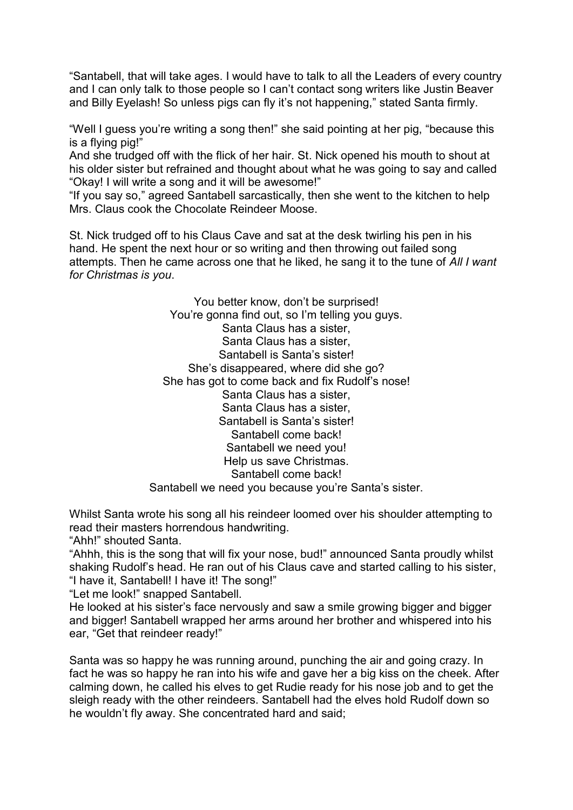"Santabell, that will take ages. I would have to talk to all the Leaders of every country and I can only talk to those people so I can't contact song writers like Justin Beaver and Billy Eyelash! So unless pigs can fly it's not happening," stated Santa firmly.

"Well I guess you're writing a song then!" she said pointing at her pig, "because this is a flying pig!"

And she trudged off with the flick of her hair. St. Nick opened his mouth to shout at his older sister but refrained and thought about what he was going to say and called "Okay! I will write a song and it will be awesome!"

"If you say so," agreed Santabell sarcastically, then she went to the kitchen to help Mrs. Claus cook the Chocolate Reindeer Moose.

St. Nick trudged off to his Claus Cave and sat at the desk twirling his pen in his hand. He spent the next hour or so writing and then throwing out failed song attempts. Then he came across one that he liked, he sang it to the tune of *All I want for Christmas is you*.

> You better know, don't be surprised! You're gonna find out, so I'm telling you guys. Santa Claus has a sister, Santa Claus has a sister, Santabell is Santa's sister! She's disappeared, where did she go? She has got to come back and fix Rudolf's nose! Santa Claus has a sister, Santa Claus has a sister, Santabell is Santa's sister! Santabell come back! Santabell we need you! Help us save Christmas. Santabell come back! Santabell we need you because you're Santa's sister.

Whilst Santa wrote his song all his reindeer loomed over his shoulder attempting to read their masters horrendous handwriting.

"Ahh!" shouted Santa.

"Ahhh, this is the song that will fix your nose, bud!" announced Santa proudly whilst shaking Rudolf's head. He ran out of his Claus cave and started calling to his sister, "I have it, Santabell! I have it! The song!"

"Let me look!" snapped Santabell.

He looked at his sister's face nervously and saw a smile growing bigger and bigger and bigger! Santabell wrapped her arms around her brother and whispered into his ear, "Get that reindeer ready!"

Santa was so happy he was running around, punching the air and going crazy. In fact he was so happy he ran into his wife and gave her a big kiss on the cheek. After calming down, he called his elves to get Rudie ready for his nose job and to get the sleigh ready with the other reindeers. Santabell had the elves hold Rudolf down so he wouldn't fly away. She concentrated hard and said;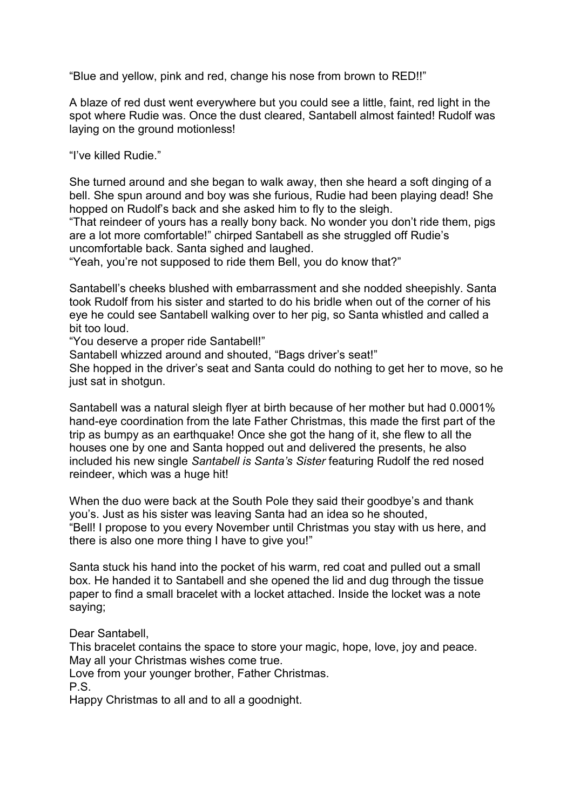"Blue and yellow, pink and red, change his nose from brown to RED!!"

A blaze of red dust went everywhere but you could see a little, faint, red light in the spot where Rudie was. Once the dust cleared, Santabell almost fainted! Rudolf was laying on the ground motionless!

"I've killed Rudie."

She turned around and she began to walk away, then she heard a soft dinging of a bell. She spun around and boy was she furious, Rudie had been playing dead! She hopped on Rudolf's back and she asked him to fly to the sleigh.

"That reindeer of yours has a really bony back. No wonder you don't ride them, pigs are a lot more comfortable!" chirped Santabell as she struggled off Rudie's uncomfortable back. Santa sighed and laughed.

"Yeah, you're not supposed to ride them Bell, you do know that?"

Santabell's cheeks blushed with embarrassment and she nodded sheepishly. Santa took Rudolf from his sister and started to do his bridle when out of the corner of his eye he could see Santabell walking over to her pig, so Santa whistled and called a bit too loud.

"You deserve a proper ride Santabell!"

Santabell whizzed around and shouted, "Bags driver's seat!"

She hopped in the driver's seat and Santa could do nothing to get her to move, so he just sat in shotgun.

Santabell was a natural sleigh flyer at birth because of her mother but had 0.0001% hand-eye coordination from the late Father Christmas, this made the first part of the trip as bumpy as an earthquake! Once she got the hang of it, she flew to all the houses one by one and Santa hopped out and delivered the presents, he also included his new single *Santabell is Santa's Sister* featuring Rudolf the red nosed reindeer, which was a huge hit!

When the duo were back at the South Pole they said their goodbye's and thank you's. Just as his sister was leaving Santa had an idea so he shouted, "Bell! I propose to you every November until Christmas you stay with us here, and there is also one more thing I have to give you!"

Santa stuck his hand into the pocket of his warm, red coat and pulled out a small box. He handed it to Santabell and she opened the lid and dug through the tissue paper to find a small bracelet with a locket attached. Inside the locket was a note saying;

Dear Santabell,

This bracelet contains the space to store your magic, hope, love, joy and peace. May all your Christmas wishes come true.

Love from your younger brother, Father Christmas.

P.S.

Happy Christmas to all and to all a goodnight.